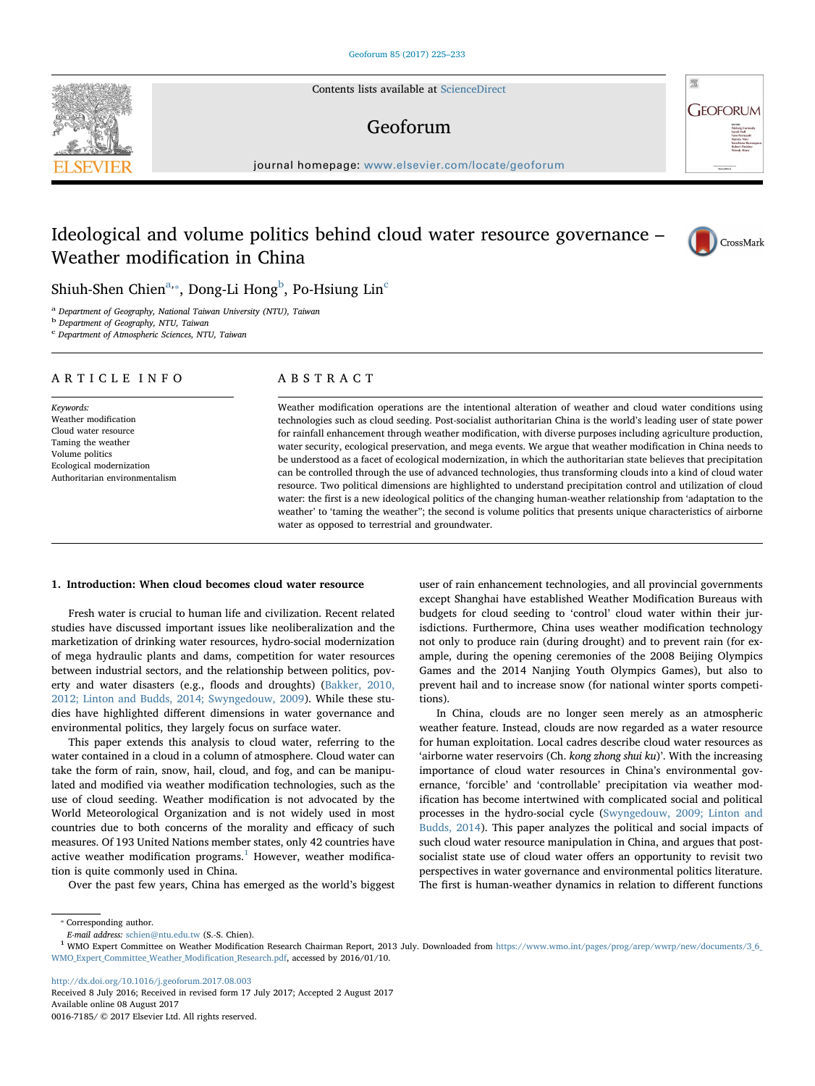Contents lists available at [ScienceDirect](http://www.sciencedirect.com/science/journal/00167185)

## Geoforum

journal homepage: [www.elsevier.com/locate/geoforum](http://www.elsevier.com/locate/geoforum)

# Ideological and volume politics behind cloud water resource governance – Weather modification in China



**GEOFORUM** 

Shiuh-Shen Chien $a_{\cdot*}$  $a_{\cdot*}$  $a_{\cdot*}$  $a_{\cdot*}$ , Dong-Li Hong $^{\rm b}$  $^{\rm b}$  $^{\rm b}$ , Po-Hsiung Lin $^{\rm c}$ 

<span id="page-0-0"></span><sup>a</sup> Department of Geography, National Taiwan University (NTU), Taiwan

<span id="page-0-2"></span>b Department of Geography, NTU, Taiwan

<span id="page-0-3"></span><sup>c</sup> Department of Atmospheric Sciences, NTU, Taiwan

## ARTICLE INFO

Keywords: Weather modification Cloud water resource Taming the weather Volume politics Ecological modernization Authoritarian environmentalism

## ABSTRACT

Weather modification operations are the intentional alteration of weather and cloud water conditions using technologies such as cloud seeding. Post-socialist authoritarian China is the world's leading user of state power for rainfall enhancement through weather modification, with diverse purposes including agriculture production, water security, ecological preservation, and mega events. We argue that weather modification in China needs to be understood as a facet of ecological modernization, in which the authoritarian state believes that precipitation can be controlled through the use of advanced technologies, thus transforming clouds into a kind of cloud water resource. Two political dimensions are highlighted to understand precipitation control and utilization of cloud water: the first is a new ideological politics of the changing human-weather relationship from 'adaptation to the weather' to 'taming the weather"; the second is volume politics that presents unique characteristics of airborne water as opposed to terrestrial and groundwater.

## 1. Introduction: When cloud becomes cloud water resource

Fresh water is crucial to human life and civilization. Recent related studies have discussed important issues like neoliberalization and the marketization of drinking water resources, hydro-social modernization of mega hydraulic plants and dams, competition for water resources between industrial sectors, and the relationship between politics, poverty and water disasters (e.g., floods and droughts) ([Bakker, 2010,](#page-8-0) [2012; Linton and Budds, 2014; Swyngedouw, 2009\)](#page-8-0). While these studies have highlighted different dimensions in water governance and environmental politics, they largely focus on surface water.

This paper extends this analysis to cloud water, referring to the water contained in a cloud in a column of atmosphere. Cloud water can take the form of rain, snow, hail, cloud, and fog, and can be manipulated and modified via weather modification technologies, such as the use of cloud seeding. Weather modification is not advocated by the World Meteorological Organization and is not widely used in most countries due to both concerns of the morality and efficacy of such measures. Of 193 United Nations member states, only 42 countries have active weather modification  $programs<sup>1</sup>$  $programs<sup>1</sup>$  $programs<sup>1</sup>$  However, weather modification is quite commonly used in China.

Over the past few years, China has emerged as the world's biggest

user of rain enhancement technologies, and all provincial governments except Shanghai have established Weather Modification Bureaus with budgets for cloud seeding to 'control' cloud water within their jurisdictions. Furthermore, China uses weather modification technology not only to produce rain (during drought) and to prevent rain (for example, during the opening ceremonies of the 2008 Beijing Olympics Games and the 2014 Nanjing Youth Olympics Games), but also to prevent hail and to increase snow (for national winter sports competitions).

In China, clouds are no longer seen merely as an atmospheric weather feature. Instead, clouds are now regarded as a water resource for human exploitation. Local cadres describe cloud water resources as 'airborne water reservoirs (Ch. kong zhong shui ku)'. With the increasing importance of cloud water resources in China's environmental governance, 'forcible' and 'controllable' precipitation via weather modification has become intertwined with complicated social and political processes in the hydro-social cycle [\(Swyngedouw, 2009; Linton and](#page-8-1) [Budds, 2014](#page-8-1)). This paper analyzes the political and social impacts of such cloud water resource manipulation in China, and argues that postsocialist state use of cloud water offers an opportunity to revisit two perspectives in water governance and environmental politics literature. The first is human-weather dynamics in relation to different functions

<http://dx.doi.org/10.1016/j.geoforum.2017.08.003>

Received 8 July 2016; Received in revised form 17 July 2017; Accepted 2 August 2017 Available online 08 August 2017 0016-7185/ © 2017 Elsevier Ltd. All rights reserved.



<span id="page-0-1"></span><sup>⁎</sup> Corresponding author.

<span id="page-0-4"></span>E-mail address: [schien@ntu.edu.tw](mailto:schien@ntu.edu.tw) (S.-S. Chien). <sup>1</sup> WMO Expert Committee on Weather Modification Research Chairman Report, 2013 July. Downloaded from [https://www.wmo.int/pages/prog/arep/wwrp/new/documents/3\\_6\\_](https://www.wmo.int/pages/prog/arep/wwrp/new/documents/3_6_WMO_Expert_Committee_Weather_Modification_Research.pdf) [WMO\\_Expert\\_Committee\\_Weather\\_Modi](https://www.wmo.int/pages/prog/arep/wwrp/new/documents/3_6_WMO_Expert_Committee_Weather_Modification_Research.pdf)fication\_Research.pdf, accessed by 2016/01/10.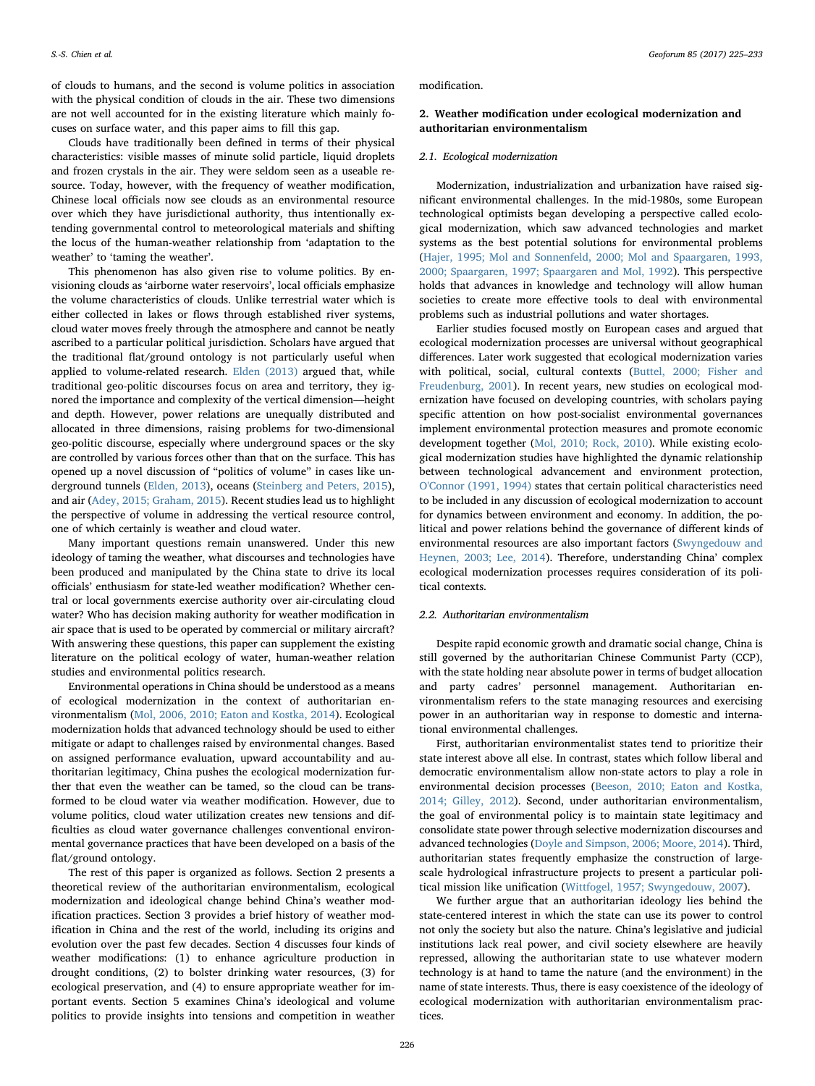S.-S. Chien et al. *Geoforum 85 (2017) 225–233*

of clouds to humans, and the second is volume politics in association with the physical condition of clouds in the air. These two dimensions are not well accounted for in the existing literature which mainly focuses on surface water, and this paper aims to fill this gap.

Clouds have traditionally been defined in terms of their physical characteristics: visible masses of minute solid particle, liquid droplets and frozen crystals in the air. They were seldom seen as a useable resource. Today, however, with the frequency of weather modification, Chinese local officials now see clouds as an environmental resource over which they have jurisdictional authority, thus intentionally extending governmental control to meteorological materials and shifting the locus of the human-weather relationship from 'adaptation to the weather' to 'taming the weather'.

This phenomenon has also given rise to volume politics. By envisioning clouds as 'airborne water reservoirs', local officials emphasize the volume characteristics of clouds. Unlike terrestrial water which is either collected in lakes or flows through established river systems, cloud water moves freely through the atmosphere and cannot be neatly ascribed to a particular political jurisdiction. Scholars have argued that the traditional flat/ground ontology is not particularly useful when applied to volume-related research. [Elden \(2013\)](#page-8-2) argued that, while traditional geo-politic discourses focus on area and territory, they ignored the importance and complexity of the vertical dimension—height and depth. However, power relations are unequally distributed and allocated in three dimensions, raising problems for two-dimensional geo-politic discourse, especially where underground spaces or the sky are controlled by various forces other than that on the surface. This has opened up a novel discussion of "politics of volume" in cases like underground tunnels [\(Elden, 2013\)](#page-8-2), oceans ([Steinberg and Peters, 2015](#page-8-3)), and air [\(Adey, 2015; Graham, 2015\)](#page-8-4). Recent studies lead us to highlight the perspective of volume in addressing the vertical resource control, one of which certainly is weather and cloud water.

Many important questions remain unanswered. Under this new ideology of taming the weather, what discourses and technologies have been produced and manipulated by the China state to drive its local officials' enthusiasm for state-led weather modification? Whether central or local governments exercise authority over air-circulating cloud water? Who has decision making authority for weather modification in air space that is used to be operated by commercial or military aircraft? With answering these questions, this paper can supplement the existing literature on the political ecology of water, human-weather relation studies and environmental politics research.

Environmental operations in China should be understood as a means of ecological modernization in the context of authoritarian environmentalism [\(Mol, 2006, 2010; Eaton and Kostka, 2014](#page-8-5)). Ecological modernization holds that advanced technology should be used to either mitigate or adapt to challenges raised by environmental changes. Based on assigned performance evaluation, upward accountability and authoritarian legitimacy, China pushes the ecological modernization further that even the weather can be tamed, so the cloud can be transformed to be cloud water via weather modification. However, due to volume politics, cloud water utilization creates new tensions and difficulties as cloud water governance challenges conventional environmental governance practices that have been developed on a basis of the flat/ground ontology.

The rest of this paper is organized as follows. Section 2 presents a theoretical review of the authoritarian environmentalism, ecological modernization and ideological change behind China's weather modification practices. Section 3 provides a brief history of weather modification in China and the rest of the world, including its origins and evolution over the past few decades. Section 4 discusses four kinds of weather modifications: (1) to enhance agriculture production in drought conditions, (2) to bolster drinking water resources, (3) for ecological preservation, and (4) to ensure appropriate weather for important events. Section 5 examines China's ideological and volume politics to provide insights into tensions and competition in weather

modification.

## 2. Weather modification under ecological modernization and authoritarian environmentalism

#### 2.1. Ecological modernization

Modernization, industrialization and urbanization have raised significant environmental challenges. In the mid-1980s, some European technological optimists began developing a perspective called ecological modernization, which saw advanced technologies and market systems as the best potential solutions for environmental problems ([Hajer, 1995; Mol and Sonnenfeld, 2000; Mol and Spaargaren, 1993,](#page-8-6) [2000; Spaargaren, 1997; Spaargaren and Mol, 1992\)](#page-8-6). This perspective holds that advances in knowledge and technology will allow human societies to create more effective tools to deal with environmental problems such as industrial pollutions and water shortages.

Earlier studies focused mostly on European cases and argued that ecological modernization processes are universal without geographical differences. Later work suggested that ecological modernization varies with political, social, cultural contexts [\(Buttel, 2000; Fisher and](#page-8-7) [Freudenburg, 2001](#page-8-7)). In recent years, new studies on ecological modernization have focused on developing countries, with scholars paying specific attention on how post-socialist environmental governances implement environmental protection measures and promote economic development together ([Mol, 2010; Rock, 2010\)](#page-8-8). While existing ecological modernization studies have highlighted the dynamic relationship between technological advancement and environment protection, [O'Connor \(1991, 1994\)](#page-8-9) states that certain political characteristics need to be included in any discussion of ecological modernization to account for dynamics between environment and economy. In addition, the political and power relations behind the governance of different kinds of environmental resources are also important factors ([Swyngedouw and](#page-8-10) [Heynen, 2003; Lee, 2014\)](#page-8-10). Therefore, understanding China' complex ecological modernization processes requires consideration of its political contexts.

#### 2.2. Authoritarian environmentalism

Despite rapid economic growth and dramatic social change, China is still governed by the authoritarian Chinese Communist Party (CCP), with the state holding near absolute power in terms of budget allocation and party cadres' personnel management. Authoritarian environmentalism refers to the state managing resources and exercising power in an authoritarian way in response to domestic and international environmental challenges.

First, authoritarian environmentalist states tend to prioritize their state interest above all else. In contrast, states which follow liberal and democratic environmentalism allow non-state actors to play a role in environmental decision processes [\(Beeson, 2010; Eaton and Kostka,](#page-8-11) [2014; Gilley, 2012\)](#page-8-11). Second, under authoritarian environmentalism, the goal of environmental policy is to maintain state legitimacy and consolidate state power through selective modernization discourses and advanced technologies ([Doyle and Simpson, 2006; Moore, 2014\)](#page-8-12). Third, authoritarian states frequently emphasize the construction of largescale hydrological infrastructure projects to present a particular political mission like unification [\(Wittfogel, 1957; Swyngedouw, 2007\)](#page-8-13).

We further argue that an authoritarian ideology lies behind the state-centered interest in which the state can use its power to control not only the society but also the nature. China's legislative and judicial institutions lack real power, and civil society elsewhere are heavily repressed, allowing the authoritarian state to use whatever modern technology is at hand to tame the nature (and the environment) in the name of state interests. Thus, there is easy coexistence of the ideology of ecological modernization with authoritarian environmentalism practices.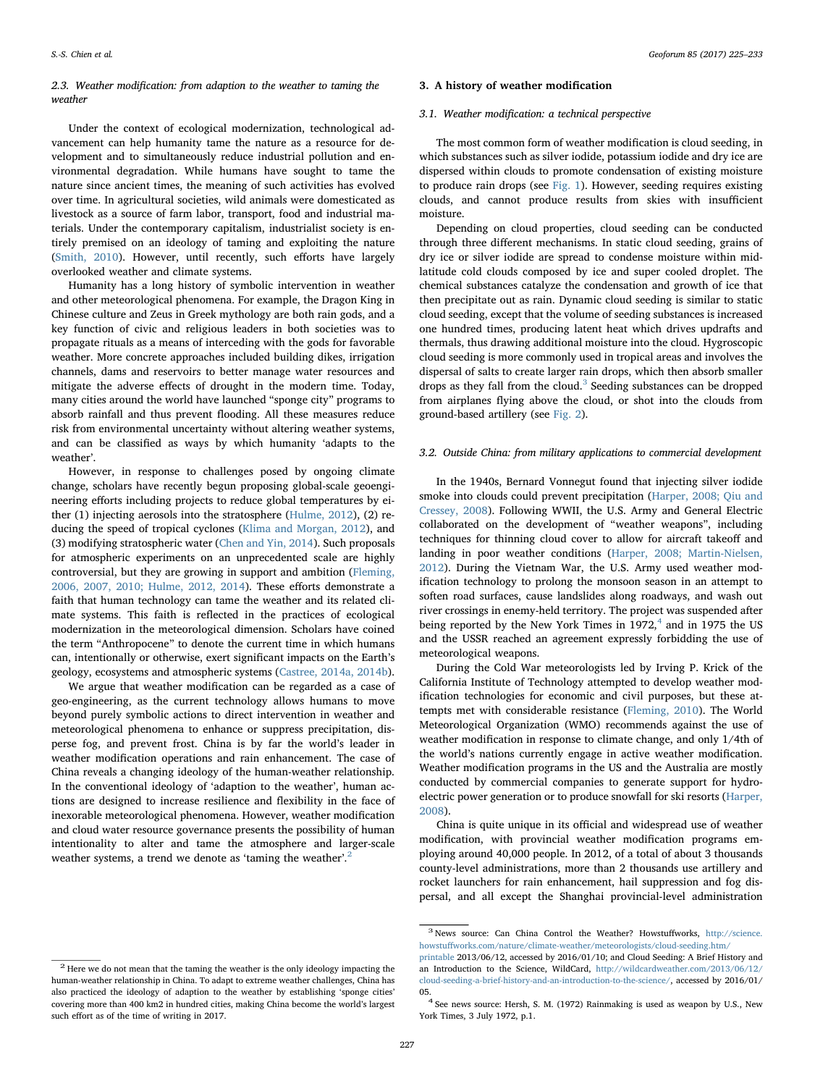## 2.3. Weather modification: from adaption to the weather to taming the weather

Under the context of ecological modernization, technological advancement can help humanity tame the nature as a resource for development and to simultaneously reduce industrial pollution and environmental degradation. While humans have sought to tame the nature since ancient times, the meaning of such activities has evolved over time. In agricultural societies, wild animals were domesticated as livestock as a source of farm labor, transport, food and industrial materials. Under the contemporary capitalism, industrialist society is entirely premised on an ideology of taming and exploiting the nature ([Smith, 2010\)](#page-8-14). However, until recently, such efforts have largely overlooked weather and climate systems.

Humanity has a long history of symbolic intervention in weather and other meteorological phenomena. For example, the Dragon King in Chinese culture and Zeus in Greek mythology are both rain gods, and a key function of civic and religious leaders in both societies was to propagate rituals as a means of interceding with the gods for favorable weather. More concrete approaches included building dikes, irrigation channels, dams and reservoirs to better manage water resources and mitigate the adverse effects of drought in the modern time. Today, many cities around the world have launched "sponge city" programs to absorb rainfall and thus prevent flooding. All these measures reduce risk from environmental uncertainty without altering weather systems, and can be classified as ways by which humanity 'adapts to the weather'.

However, in response to challenges posed by ongoing climate change, scholars have recently begun proposing global-scale geoengineering efforts including projects to reduce global temperatures by either (1) injecting aerosols into the stratosphere ([Hulme, 2012](#page-8-15)), (2) reducing the speed of tropical cyclones [\(Klima and Morgan, 2012](#page-8-16)), and (3) modifying stratospheric water [\(Chen and Yin, 2014](#page-8-17)). Such proposals for atmospheric experiments on an unprecedented scale are highly controversial, but they are growing in support and ambition ([Fleming,](#page-8-18) [2006, 2007, 2010; Hulme, 2012, 2014](#page-8-18)). These efforts demonstrate a faith that human technology can tame the weather and its related climate systems. This faith is reflected in the practices of ecological modernization in the meteorological dimension. Scholars have coined the term "Anthropocene" to denote the current time in which humans can, intentionally or otherwise, exert significant impacts on the Earth's geology, ecosystems and atmospheric systems [\(Castree, 2014a, 2014b](#page-8-19)).

We argue that weather modification can be regarded as a case of geo-engineering, as the current technology allows humans to move beyond purely symbolic actions to direct intervention in weather and meteorological phenomena to enhance or suppress precipitation, disperse fog, and prevent frost. China is by far the world's leader in weather modification operations and rain enhancement. The case of China reveals a changing ideology of the human-weather relationship. In the conventional ideology of 'adaption to the weather', human actions are designed to increase resilience and flexibility in the face of inexorable meteorological phenomena. However, weather modification and cloud water resource governance presents the possibility of human intentionality to alter and tame the atmosphere and larger-scale weather systems, a trend we denote as 'taming the weather'.<sup>[2](#page-2-0)</sup>

## <span id="page-2-0"></span> $^{\rm 2}$  Here we do not mean that the taming the weather is the only ideology impacting the human-weather relationship in China. To adapt to extreme weather challenges, China has also practiced the ideology of adaption to the weather by establishing 'sponge cities' covering more than 400 km2 in hundred cities, making China become the world's largest

such effort as of the time of writing in 2017.

## 3. A history of weather modification

#### 3.1. Weather modification: a technical perspective

The most common form of weather modification is cloud seeding, in which substances such as silver iodide, potassium iodide and dry ice are dispersed within clouds to promote condensation of existing moisture to produce rain drops (see [Fig. 1\)](#page-3-0). However, seeding requires existing clouds, and cannot produce results from skies with insufficient moisture.

Depending on cloud properties, cloud seeding can be conducted through three different mechanisms. In static cloud seeding, grains of dry ice or silver iodide are spread to condense moisture within midlatitude cold clouds composed by ice and super cooled droplet. The chemical substances catalyze the condensation and growth of ice that then precipitate out as rain. Dynamic cloud seeding is similar to static cloud seeding, except that the volume of seeding substances is increased one hundred times, producing latent heat which drives updrafts and thermals, thus drawing additional moisture into the cloud. Hygroscopic cloud seeding is more commonly used in tropical areas and involves the dispersal of salts to create larger rain drops, which then absorb smaller drops as they fall from the cloud. $3$  Seeding substances can be dropped from airplanes flying above the cloud, or shot into the clouds from ground-based artillery (see [Fig. 2\)](#page-3-1).

## 3.2. Outside China: from military applications to commercial development

In the 1940s, Bernard Vonnegut found that injecting silver iodide smoke into clouds could prevent precipitation ([Harper, 2008; Qiu and](#page-8-20) [Cressey, 2008\)](#page-8-20). Following WWII, the U.S. Army and General Electric collaborated on the development of "weather weapons", including techniques for thinning cloud cover to allow for aircraft takeoff and landing in poor weather conditions [\(Harper, 2008; Martin-Nielsen,](#page-8-20) [2012\)](#page-8-20). During the Vietnam War, the U.S. Army used weather modification technology to prolong the monsoon season in an attempt to soften road surfaces, cause landslides along roadways, and wash out river crossings in enemy-held territory. The project was suspended after being reported by the New York Times in  $1972<sup>4</sup>$  $1972<sup>4</sup>$  $1972<sup>4</sup>$  and in 1975 the US and the USSR reached an agreement expressly forbidding the use of meteorological weapons.

During the Cold War meteorologists led by Irving P. Krick of the California Institute of Technology attempted to develop weather modification technologies for economic and civil purposes, but these attempts met with considerable resistance ([Fleming, 2010\)](#page-8-21). The World Meteorological Organization (WMO) recommends against the use of weather modification in response to climate change, and only 1/4th of the world's nations currently engage in active weather modification. Weather modification programs in the US and the Australia are mostly conducted by commercial companies to generate support for hydroelectric power generation or to produce snowfall for ski resorts ([Harper,](#page-8-20) [2008\)](#page-8-20).

China is quite unique in its official and widespread use of weather modification, with provincial weather modification programs employing around 40,000 people. In 2012, of a total of about 3 thousands county-level administrations, more than 2 thousands use artillery and rocket launchers for rain enhancement, hail suppression and fog dispersal, and all except the Shanghai provincial-level administration

<span id="page-2-1"></span><sup>3</sup> News source: Can China Control the Weather? Howstuffworks, [http://science.](http://science.howstuffworks.com/nature/climate-weather/meteorologists/cloud-seeding.htm/printable) howstuff[works.com/nature/climate-weather/meteorologists/cloud-seeding.htm/](http://science.howstuffworks.com/nature/climate-weather/meteorologists/cloud-seeding.htm/printable)

[printable](http://science.howstuffworks.com/nature/climate-weather/meteorologists/cloud-seeding.htm/printable) 2013/06/12, accessed by 2016/01/10; and Cloud Seeding: A Brief History and an Introduction to the Science, WildCard, [http://wildcardweather.com/2013/06/12/](http://wildcardweather.com/2013/06/12/cloud-seeding-a-brief-history-and-an-introduction-to-the-science/) [cloud-seeding-a-brief-history-and-an-introduction-to-the-science/](http://wildcardweather.com/2013/06/12/cloud-seeding-a-brief-history-and-an-introduction-to-the-science/), accessed by 2016/01/

<span id="page-2-2"></span><sup>05.4</sup> See news source: Hersh, S. M. (1972) Rainmaking is used as weapon by U.S., New York Times, 3 July 1972, p.1.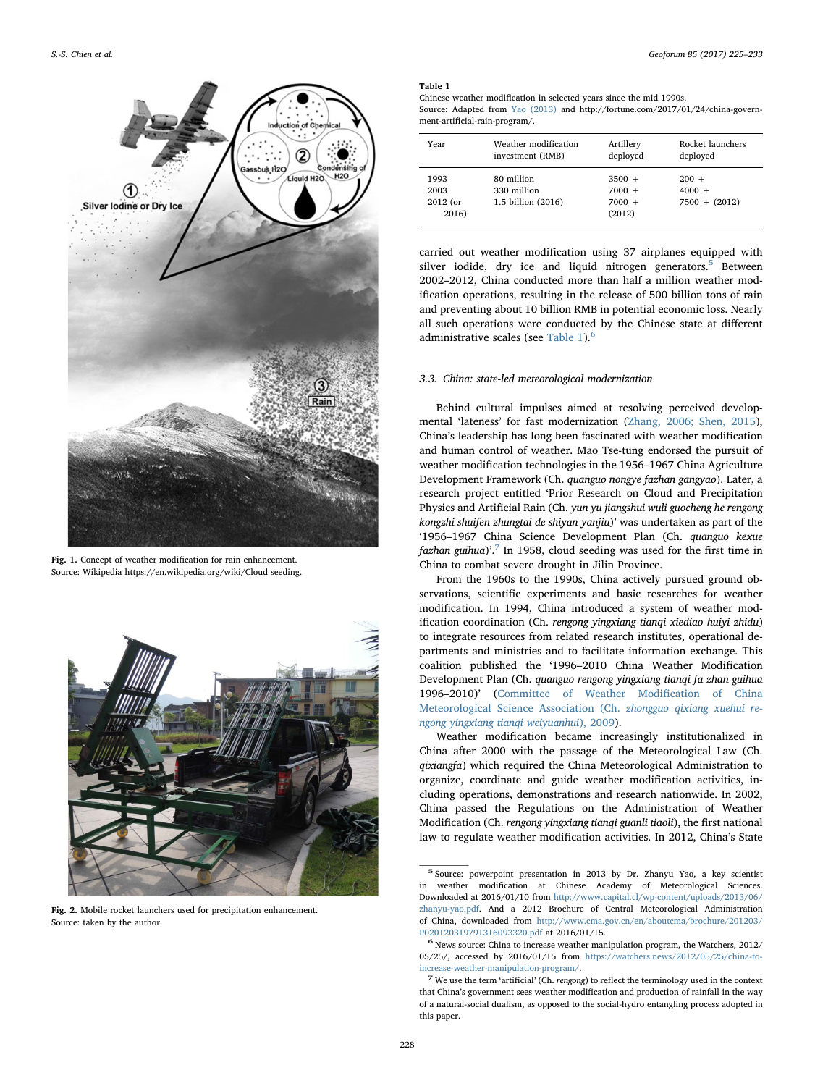<span id="page-3-0"></span>

Fig. 1. Concept of weather modification for rain enhancement. Source: Wikipedia https://en.wikipedia.org/wiki/Cloud\_seeding.

<span id="page-3-1"></span>

Fig. 2. Mobile rocket launchers used for precipitation enhancement. Source: taken by the author.

## <span id="page-3-3"></span>Table 1

Chinese weather modification in selected years since the mid 1990s. Source: Adapted from [Yao \(2013\)](#page-8-24) and http://fortune.com/2017/01/24/china-government-artificial-rain-program/.

| Year                              | Weather modification                            | Artillery                                  | Rocket launchers                       |
|-----------------------------------|-------------------------------------------------|--------------------------------------------|----------------------------------------|
|                                   | investment (RMB)                                | deployed                                   | deployed                               |
| 1993<br>2003<br>2012 (or<br>2016) | 80 million<br>330 million<br>1.5 billion (2016) | $3500 +$<br>$7000 +$<br>$7000 +$<br>(2012) | $200 +$<br>$4000 +$<br>$7500 + (2012)$ |

carried out weather modification using 37 airplanes equipped with silver iodide, dry ice and liquid nitrogen generators. $5$  Between 2002–2012, China conducted more than half a million weather modification operations, resulting in the release of 500 billion tons of rain and preventing about 10 billion RMB in potential economic loss. Nearly all such operations were conducted by the Chinese state at different administrative scales (see [Table 1\)](#page-3-3).<sup>[6](#page-3-4)</sup>

#### 3.3. China: state-led meteorological modernization

Behind cultural impulses aimed at resolving perceived developmental 'lateness' for fast modernization [\(Zhang, 2006; Shen, 2015](#page-8-22)), China's leadership has long been fascinated with weather modification and human control of weather. Mao Tse-tung endorsed the pursuit of weather modification technologies in the 1956–1967 China Agriculture Development Framework (Ch. quanguo nongye fazhan gangyao). Later, a research project entitled 'Prior Research on Cloud and Precipitation Physics and Artificial Rain (Ch. yun yu jiangshui wuli guocheng he rengong kongzhi shuifen zhungtai de shiyan yanjiu)' was undertaken as part of the '1956–1967 China Science Development Plan (Ch. quanguo kexue fazhan guihua)'.<sup>[7](#page-3-5)</sup> In 1958, cloud seeding was used for the first time in China to combat severe drought in Jilin Province.

From the 1960s to the 1990s, China actively pursued ground observations, scientific experiments and basic researches for weather modification. In 1994, China introduced a system of weather modification coordination (Ch. rengong yingxiang tianqi xiediao huiyi zhidu) to integrate resources from related research institutes, operational departments and ministries and to facilitate information exchange. This coalition published the '1996–2010 China Weather Modification Development Plan (Ch. quanguo rengong yingxiang tianqi fa zhan guihua 1996–2010)' ([Committee of Weather Modi](#page-8-23)fication of China [Meteorological Science Association \(Ch.](#page-8-23) zhongguo qixiang xuehui re[ngong yingxiang tianqi weiyuanhui](#page-8-23)), 2009).

Weather modification became increasingly institutionalized in China after 2000 with the passage of the Meteorological Law (Ch. qixiangfa) which required the China Meteorological Administration to organize, coordinate and guide weather modification activities, including operations, demonstrations and research nationwide. In 2002, China passed the Regulations on the Administration of Weather Modification (Ch. rengong yingxiang tianqi guanli tiaoli), the first national law to regulate weather modification activities. In 2012, China's State

<span id="page-3-2"></span><sup>5</sup> Source: powerpoint presentation in 2013 by Dr. Zhanyu Yao, a key scientist in weather modification at Chinese Academy of Meteorological Sciences. Downloaded at 2016/01/10 from [http://www.capital.cl/wp-content/uploads/2013/06/](http://www.capital.cl/wp-content/uploads/2013/06/zhanyu-yao.pdf) [zhanyu-yao.pdf](http://www.capital.cl/wp-content/uploads/2013/06/zhanyu-yao.pdf). And a 2012 Brochure of Central Meteorological Administration of China, downloaded from [http://www.cma.gov.cn/en/aboutcma/brochure/201203/](http://www.cma.gov.cn/en/aboutcma/brochure/201203/P020120319791316093320.pdf) [P020120319791316093320.pdf](http://www.cma.gov.cn/en/aboutcma/brochure/201203/P020120319791316093320.pdf) at 2016/01/15. <sup>6</sup> News source: China to increase weather manipulation program, the Watchers, 2012/

<span id="page-3-4"></span><sup>05/25/,</sup> accessed by 2016/01/15 from [https://watchers.news/2012/05/25/china-to](https://watchers.news/2012/05/25/china-to-increase-weather-manipulation-program/)[increase-weather-manipulation-program/](https://watchers.news/2012/05/25/china-to-increase-weather-manipulation-program/). <sup>7</sup> We use the term 'artificial' (Ch. rengong) to reflect the terminology used in the context

<span id="page-3-5"></span>that China's government sees weather modification and production of rainfall in the way of a natural-social dualism, as opposed to the social-hydro entangling process adopted in this paper.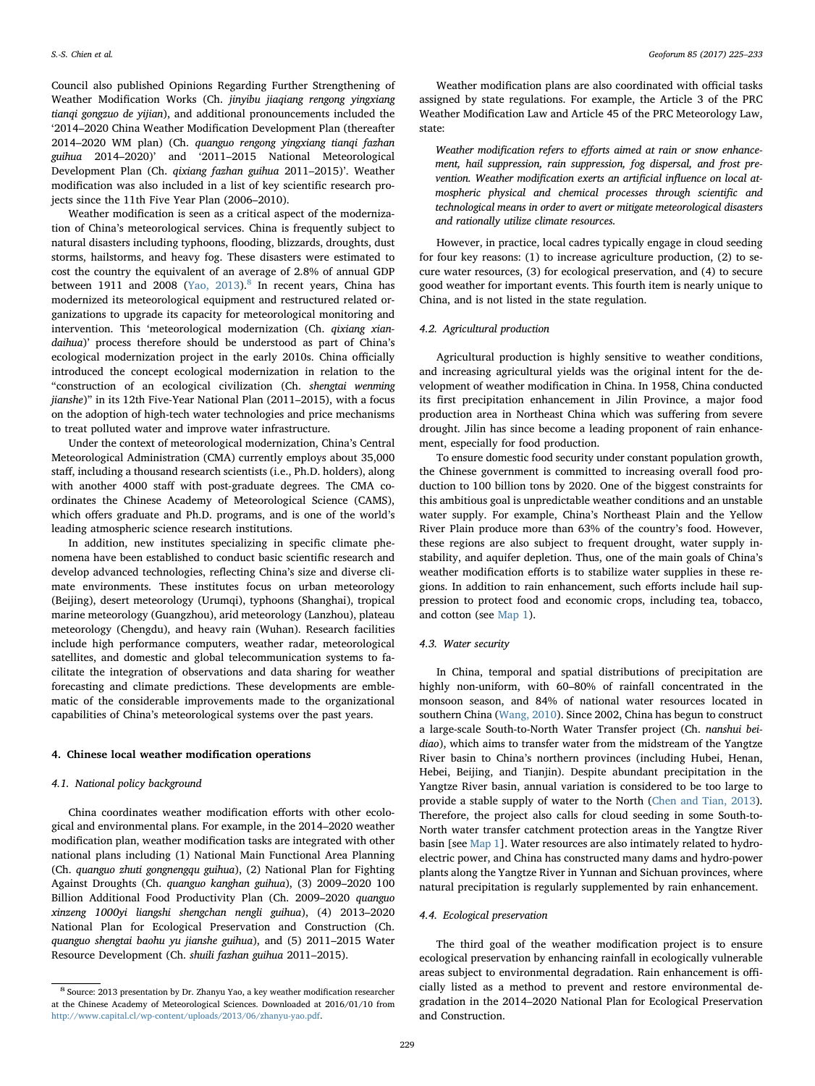Council also published Opinions Regarding Further Strengthening of Weather Modification Works (Ch. jinyibu jiaqiang rengong yingxiang tianqi gongzuo de yijian), and additional pronouncements included the '2014–2020 China Weather Modification Development Plan (thereafter 2014–2020 WM plan) (Ch. quanguo rengong yingxiang tianqi fazhan guihua 2014–2020)' and '2011–2015 National Meteorological Development Plan (Ch. qixiang fazhan guihua 2011–2015)'. Weather modification was also included in a list of key scientific research projects since the 11th Five Year Plan (2006–2010).

Weather modification is seen as a critical aspect of the modernization of China's meteorological services. China is frequently subject to natural disasters including typhoons, flooding, blizzards, droughts, dust storms, hailstorms, and heavy fog. These disasters were estimated to cost the country the equivalent of an average of 2.8% of annual GDP between 1911 and 200[8](#page-4-0) (Yao,  $2013$ ).<sup>8</sup> In recent years, China has modernized its meteorological equipment and restructured related organizations to upgrade its capacity for meteorological monitoring and intervention. This 'meteorological modernization (Ch. qixiang xiandaihua)' process therefore should be understood as part of China's ecological modernization project in the early 2010s. China officially introduced the concept ecological modernization in relation to the "construction of an ecological civilization (Ch. shengtai wenming jianshe)" in its 12th Five-Year National Plan (2011–2015), with a focus on the adoption of high-tech water technologies and price mechanisms to treat polluted water and improve water infrastructure.

Under the context of meteorological modernization, China's Central Meteorological Administration (CMA) currently employs about 35,000 staff, including a thousand research scientists (i.e., Ph.D. holders), along with another 4000 staff with post-graduate degrees. The CMA coordinates the Chinese Academy of Meteorological Science (CAMS), which offers graduate and Ph.D. programs, and is one of the world's leading atmospheric science research institutions.

In addition, new institutes specializing in specific climate phenomena have been established to conduct basic scientific research and develop advanced technologies, reflecting China's size and diverse climate environments. These institutes focus on urban meteorology (Beijing), desert meteorology (Urumqi), typhoons (Shanghai), tropical marine meteorology (Guangzhou), arid meteorology (Lanzhou), plateau meteorology (Chengdu), and heavy rain (Wuhan). Research facilities include high performance computers, weather radar, meteorological satellites, and domestic and global telecommunication systems to facilitate the integration of observations and data sharing for weather forecasting and climate predictions. These developments are emblematic of the considerable improvements made to the organizational capabilities of China's meteorological systems over the past years.

#### 4. Chinese local weather modification operations

## 4.1. National policy background

China coordinates weather modification efforts with other ecological and environmental plans. For example, in the 2014–2020 weather modification plan, weather modification tasks are integrated with other national plans including (1) National Main Functional Area Planning (Ch. quanguo zhuti gongnengqu guihua), (2) National Plan for Fighting Against Droughts (Ch. quanguo kanghan guihua), (3) 2009–2020 100 Billion Additional Food Productivity Plan (Ch. 2009–2020 quanguo xinzeng 1000yi liangshi shengchan nengli guihua), (4) 2013–2020 National Plan for Ecological Preservation and Construction (Ch. quanguo shengtai baohu yu jianshe guihua), and (5) 2011–2015 Water Resource Development (Ch. shuili fazhan guihua 2011–2015).

Weather modification plans are also coordinated with official tasks assigned by state regulations. For example, the Article 3 of the PRC Weather Modification Law and Article 45 of the PRC Meteorology Law, state:

Weather modification refers to efforts aimed at rain or snow enhancement, hail suppression, rain suppression, fog dispersal, and frost prevention. Weather modification exerts an artificial influence on local atmospheric physical and chemical processes through scientific and technological means in order to avert or mitigate meteorological disasters and rationally utilize climate resources.

However, in practice, local cadres typically engage in cloud seeding for four key reasons: (1) to increase agriculture production, (2) to secure water resources, (3) for ecological preservation, and (4) to secure good weather for important events. This fourth item is nearly unique to China, and is not listed in the state regulation.

## 4.2. Agricultural production

Agricultural production is highly sensitive to weather conditions, and increasing agricultural yields was the original intent for the development of weather modification in China. In 1958, China conducted its first precipitation enhancement in Jilin Province, a major food production area in Northeast China which was suffering from severe drought. Jilin has since become a leading proponent of rain enhancement, especially for food production.

To ensure domestic food security under constant population growth, the Chinese government is committed to increasing overall food production to 100 billion tons by 2020. One of the biggest constraints for this ambitious goal is unpredictable weather conditions and an unstable water supply. For example, China's Northeast Plain and the Yellow River Plain produce more than 63% of the country's food. However, these regions are also subject to frequent drought, water supply instability, and aquifer depletion. Thus, one of the main goals of China's weather modification efforts is to stabilize water supplies in these regions. In addition to rain enhancement, such efforts include hail suppression to protect food and economic crops, including tea, tobacco, and cotton (see [Map 1\)](#page-5-0).

#### 4.3. Water security

In China, temporal and spatial distributions of precipitation are highly non-uniform, with 60–80% of rainfall concentrated in the monsoon season, and 84% of national water resources located in southern China ([Wang, 2010](#page-8-25)). Since 2002, China has begun to construct a large-scale South-to-North Water Transfer project (Ch. nanshui beidiao), which aims to transfer water from the midstream of the Yangtze River basin to China's northern provinces (including Hubei, Henan, Hebei, Beijing, and Tianjin). Despite abundant precipitation in the Yangtze River basin, annual variation is considered to be too large to provide a stable supply of water to the North ([Chen and Tian, 2013](#page-8-26)). Therefore, the project also calls for cloud seeding in some South-to-North water transfer catchment protection areas in the Yangtze River basin [see [Map 1\]](#page-5-0). Water resources are also intimately related to hydroelectric power, and China has constructed many dams and hydro-power plants along the Yangtze River in Yunnan and Sichuan provinces, where natural precipitation is regularly supplemented by rain enhancement.

## 4.4. Ecological preservation

The third goal of the weather modification project is to ensure ecological preservation by enhancing rainfall in ecologically vulnerable areas subject to environmental degradation. Rain enhancement is officially listed as a method to prevent and restore environmental degradation in the 2014–2020 National Plan for Ecological Preservation and Construction.

<span id="page-4-0"></span><sup>8</sup> Source: 2013 presentation by Dr. Zhanyu Yao, a key weather modification researcher at the Chinese Academy of Meteorological Sciences. Downloaded at 2016/01/10 from <http://www.capital.cl/wp-content/uploads/2013/06/zhanyu-yao.pdf>.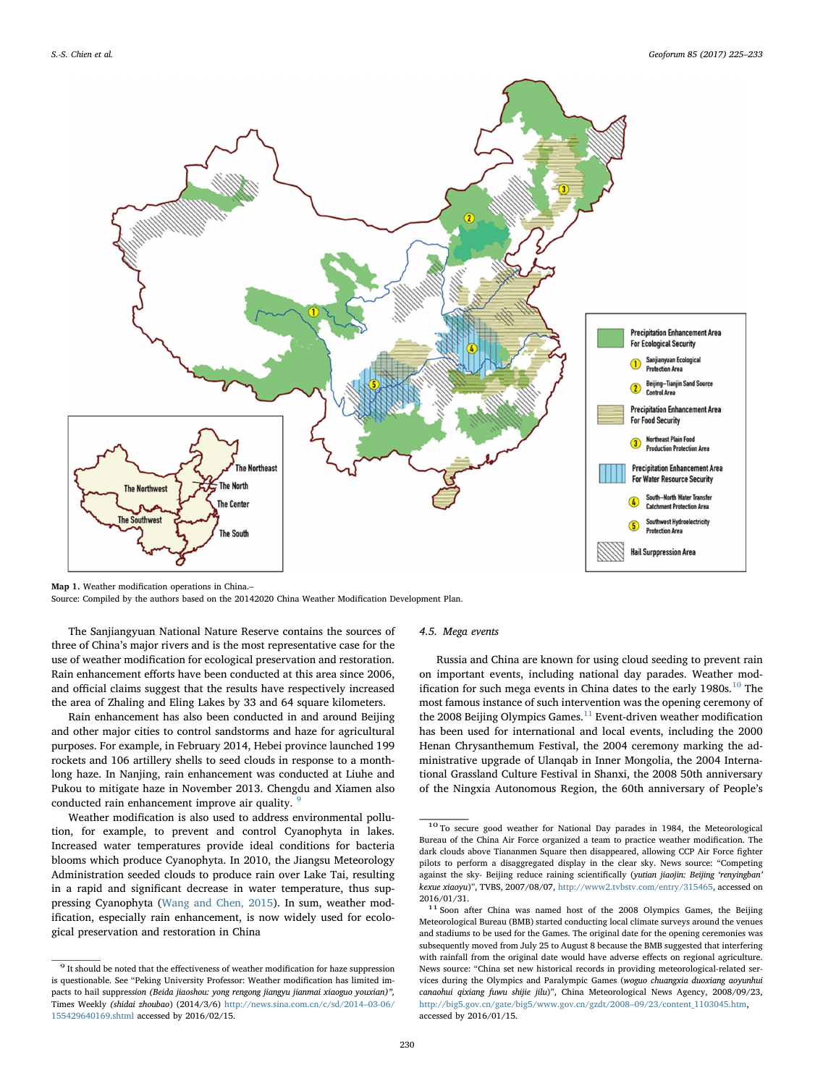<span id="page-5-0"></span>

Map 1. Weather modification operations in China.–

Source: Compiled by the authors based on the 20142020 China Weather Modification Development Plan.

The Sanjiangyuan National Nature Reserve contains the sources of three of China's major rivers and is the most representative case for the use of weather modification for ecological preservation and restoration. Rain enhancement efforts have been conducted at this area since 2006, and official claims suggest that the results have respectively increased the area of Zhaling and Eling Lakes by 33 and 64 square kilometers.

Rain enhancement has also been conducted in and around Beijing and other major cities to control sandstorms and haze for agricultural purposes. For example, in February 2014, Hebei province launched 199 rockets and 106 artillery shells to seed clouds in response to a monthlong haze. In Nanjing, rain enhancement was conducted at Liuhe and Pukou to mitigate haze in November 2013. Chengdu and Xiamen also conducted rain enhancement improve air quality.

Weather modification is also used to address environmental pollution, for example, to prevent and control Cyanophyta in lakes. Increased water temperatures provide ideal conditions for bacteria blooms which produce Cyanophyta. In 2010, the Jiangsu Meteorology Administration seeded clouds to produce rain over Lake Tai, resulting in a rapid and significant decrease in water temperature, thus suppressing Cyanophyta [\(Wang and Chen, 2015\)](#page-8-27). In sum, weather modification, especially rain enhancement, is now widely used for ecological preservation and restoration in China

#### 4.5. Mega events

Russia and China are known for using cloud seeding to prevent rain on important events, including national day parades. Weather mod-ification for such mega events in China dates to the early 1980s.<sup>[10](#page-5-2)</sup> The most famous instance of such intervention was the opening ceremony of the 2008 Beijing Olympics Games. $^{11}$  $^{11}$  $^{11}$  Event-driven weather modification has been used for international and local events, including the 2000 Henan Chrysanthemum Festival, the 2004 ceremony marking the administrative upgrade of Ulanqab in Inner Mongolia, the 2004 International Grassland Culture Festival in Shanxi, the 2008 50th anniversary of the Ningxia Autonomous Region, the 60th anniversary of People's

<span id="page-5-1"></span> $^{\rm 9}$  It should be noted that the effectiveness of weather modification for haze suppression is questionable. See "Peking University Professor: Weather modification has limited impacts to hail suppression (Beida jiaoshou: yong rengong jiangyu jianmai xiaoguo youxian)", Times Weekly (shidai zhoubao) (2014/3/6) [http://news.sina.com.cn/c/sd/2014](http://news.sina.com.cn/c/sd/2014-03-06/155429640169.shtml)–03-06/ [155429640169.shtml](http://news.sina.com.cn/c/sd/2014-03-06/155429640169.shtml) accessed by 2016/02/15.

<span id="page-5-2"></span><sup>10</sup> To secure good weather for National Day parades in 1984, the Meteorological Bureau of the China Air Force organized a team to practice weather modification. The dark clouds above Tiananmen Square then disappeared, allowing CCP Air Force fighter pilots to perform a disaggregated display in the clear sky. News source: "Competing against the sky- Beijing reduce raining scientifically (yutian jiaojin: Beijing 'renyingban' kexue xiaoyu)", TVBS, 2007/08/07, <http://www2.tvbstv.com/entry/315465>, accessed on 2016/01/31.

<span id="page-5-3"></span> $11$  Soon after China was named host of the 2008 Olympics Games, the Beijing Meteorological Bureau (BMB) started conducting local climate surveys around the venues and stadiums to be used for the Games. The original date for the opening ceremonies was subsequently moved from July 25 to August 8 because the BMB suggested that interfering with rainfall from the original date would have adverse effects on regional agriculture. News source: "China set new historical records in providing meteorological-related services during the Olympics and Paralympic Games (woguo chuangxia duoxiang aoyunhui canaohui qixiang fuwu shijie jilu)", China Meteorological News Agency, 2008/09/23, [http://big5.gov.cn/gate/big5/www.gov.cn/gzdt/2008](http://big5.gov.cn/gate/big5/www.gov.cn/gzdt/2008-09/23/content_1103045.htm)–09/23/content\_1103045.htm, accessed by 2016/01/15.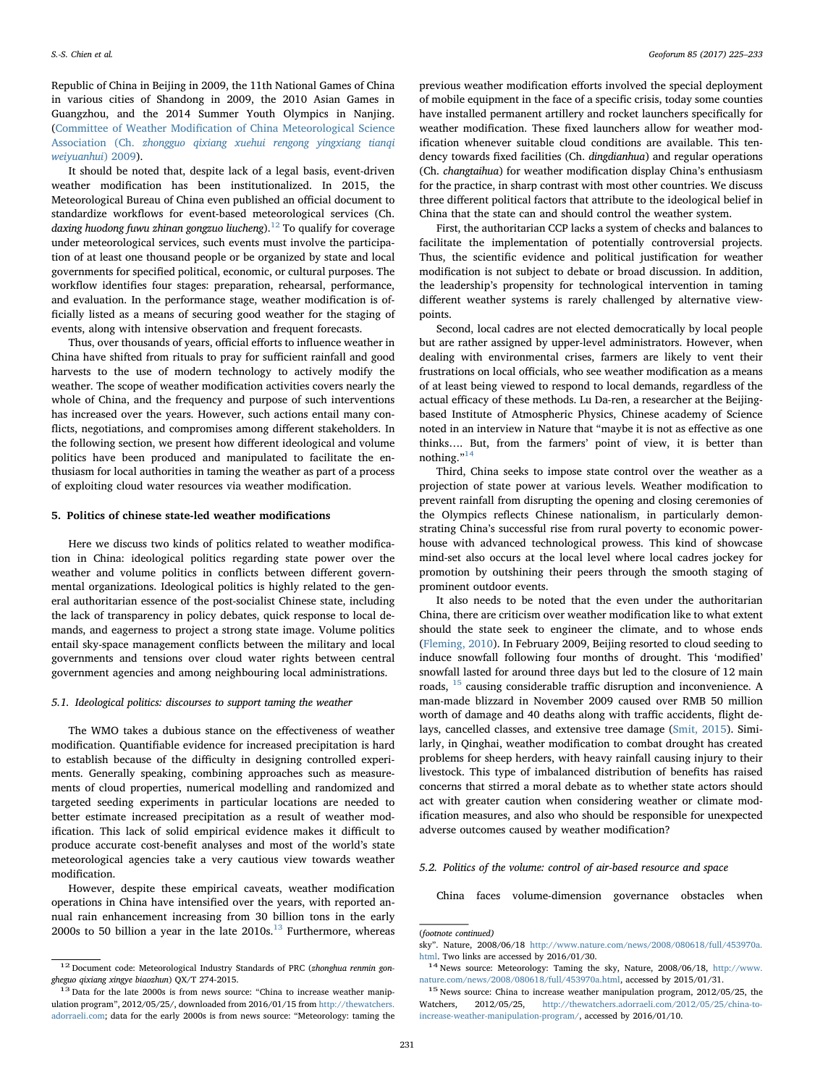Republic of China in Beijing in 2009, the 11th National Games of China in various cities of Shandong in 2009, the 2010 Asian Games in Guangzhou, and the 2014 Summer Youth Olympics in Nanjing. (Committee of Weather Modifi[cation of China Meteorological Science](#page-8-23) Association (Ch. [zhongguo qixiang xuehui rengong yingxiang tianqi](#page-8-23) [weiyuanhui](#page-8-23)) 2009).

It should be noted that, despite lack of a legal basis, event-driven weather modification has been institutionalized. In 2015, the Meteorological Bureau of China even published an official document to standardize workflows for event-based meteorological services (Ch. daxing huodong fuwu zhinan gongzuo liucheng).<sup>[12](#page-6-0)</sup> To qualify for coverage under meteorological services, such events must involve the participation of at least one thousand people or be organized by state and local governments for specified political, economic, or cultural purposes. The workflow identifies four stages: preparation, rehearsal, performance, and evaluation. In the performance stage, weather modification is officially listed as a means of securing good weather for the staging of events, along with intensive observation and frequent forecasts.

Thus, over thousands of years, official efforts to influence weather in China have shifted from rituals to pray for sufficient rainfall and good harvests to the use of modern technology to actively modify the weather. The scope of weather modification activities covers nearly the whole of China, and the frequency and purpose of such interventions has increased over the years. However, such actions entail many conflicts, negotiations, and compromises among different stakeholders. In the following section, we present how different ideological and volume politics have been produced and manipulated to facilitate the enthusiasm for local authorities in taming the weather as part of a process of exploiting cloud water resources via weather modification.

## 5. Politics of chinese state-led weather modifications

Here we discuss two kinds of politics related to weather modification in China: ideological politics regarding state power over the weather and volume politics in conflicts between different governmental organizations. Ideological politics is highly related to the general authoritarian essence of the post-socialist Chinese state, including the lack of transparency in policy debates, quick response to local demands, and eagerness to project a strong state image. Volume politics entail sky-space management conflicts between the military and local governments and tensions over cloud water rights between central government agencies and among neighbouring local administrations.

## 5.1. Ideological politics: discourses to support taming the weather

The WMO takes a dubious stance on the effectiveness of weather modification. Quantifiable evidence for increased precipitation is hard to establish because of the difficulty in designing controlled experiments. Generally speaking, combining approaches such as measurements of cloud properties, numerical modelling and randomized and targeted seeding experiments in particular locations are needed to better estimate increased precipitation as a result of weather modification. This lack of solid empirical evidence makes it difficult to produce accurate cost-benefit analyses and most of the world's state meteorological agencies take a very cautious view towards weather modification.

However, despite these empirical caveats, weather modification operations in China have intensified over the years, with reported annual rain enhancement increasing from 30 billion tons in the early 2000s to 50 billion a year in the late  $2010s$ .<sup>[13](#page-6-1)</sup> Furthermore, whereas

previous weather modification efforts involved the special deployment of mobile equipment in the face of a specific crisis, today some counties have installed permanent artillery and rocket launchers specifically for weather modification. These fixed launchers allow for weather modification whenever suitable cloud conditions are available. This tendency towards fixed facilities (Ch. dingdianhua) and regular operations (Ch. changtaihua) for weather modification display China's enthusiasm for the practice, in sharp contrast with most other countries. We discuss three different political factors that attribute to the ideological belief in China that the state can and should control the weather system.

First, the authoritarian CCP lacks a system of checks and balances to facilitate the implementation of potentially controversial projects. Thus, the scientific evidence and political justification for weather modification is not subject to debate or broad discussion. In addition, the leadership's propensity for technological intervention in taming different weather systems is rarely challenged by alternative viewpoints.

Second, local cadres are not elected democratically by local people but are rather assigned by upper-level administrators. However, when dealing with environmental crises, farmers are likely to vent their frustrations on local officials, who see weather modification as a means of at least being viewed to respond to local demands, regardless of the actual efficacy of these methods. Lu Da-ren, a researcher at the Beijingbased Institute of Atmospheric Physics, Chinese academy of Science noted in an interview in Nature that "maybe it is not as effective as one thinks…. But, from the farmers' point of view, it is better than nothing."<sup>[14](#page-6-2)</sup>

Third, China seeks to impose state control over the weather as a projection of state power at various levels. Weather modification to prevent rainfall from disrupting the opening and closing ceremonies of the Olympics reflects Chinese nationalism, in particularly demonstrating China's successful rise from rural poverty to economic powerhouse with advanced technological prowess. This kind of showcase mind-set also occurs at the local level where local cadres jockey for promotion by outshining their peers through the smooth staging of prominent outdoor events.

It also needs to be noted that the even under the authoritarian China, there are criticism over weather modification like to what extent should the state seek to engineer the climate, and to whose ends ([Fleming, 2010](#page-8-21)). In February 2009, Beijing resorted to cloud seeding to induce snowfall following four months of drought. This 'modified' snowfall lasted for around three days but led to the closure of 12 main roads, [15](#page-6-3) causing considerable traffic disruption and inconvenience. A man-made blizzard in November 2009 caused over RMB 50 million worth of damage and 40 deaths along with traffic accidents, flight delays, cancelled classes, and extensive tree damage [\(Smit, 2015](#page-8-28)). Similarly, in Qinghai, weather modification to combat drought has created problems for sheep herders, with heavy rainfall causing injury to their livestock. This type of imbalanced distribution of benefits has raised concerns that stirred a moral debate as to whether state actors should act with greater caution when considering weather or climate modification measures, and also who should be responsible for unexpected adverse outcomes caused by weather modification?

## 5.2. Politics of the volume: control of air-based resource and space

China faces volume-dimension governance obstacles when

(footnote continued)

<span id="page-6-0"></span><sup>&</sup>lt;sup>12</sup> Document code: Meteorological Industry Standards of PRC (zhonghua renmin gongheguo qixiang xingye biaozhun) QX/T 274-2015.<br> $13$  Data for the late 2000s is from news source: "China to increase weather manip-

<span id="page-6-1"></span>ulation program", 2012/05/25/, downloaded from 2016/01/15 from [http://thewatchers.](http://thewatchers.adorraeli.com) [adorraeli.com;](http://thewatchers.adorraeli.com) data for the early 2000s is from news source: "Meteorology: taming the

sky". Nature, 2008/06/18 [http://www.nature.com/news/2008/080618/full/453970a.](http://www.nature.com/news/2008/080618/full/453970a.html)

<span id="page-6-2"></span>[html.](http://www.nature.com/news/2008/080618/full/453970a.html) Two links are accessed by 2016/01/30.  $14$  News source: Meteorology: Taming the sky, Nature, 2008/06/18, [http://www.](http://www.nature.com/news/2008/080618/full/453970a.html) [nature.com/news/2008/080618/full/453970a.html](http://www.nature.com/news/2008/080618/full/453970a.html), accessed by 2015/01/31.  $^{15}$  News source: China to increase weather manipulation program, 2012/05/25, the

<span id="page-6-3"></span>Watchers, 2012/05/25, [http://thewatchers.adorraeli.com/2012/05/25/china-to](http://thewatchers.adorraeli.com/2012/05/25/china-to-increase-weather-manipulation-program/)[increase-weather-manipulation-program/](http://thewatchers.adorraeli.com/2012/05/25/china-to-increase-weather-manipulation-program/), accessed by 2016/01/10.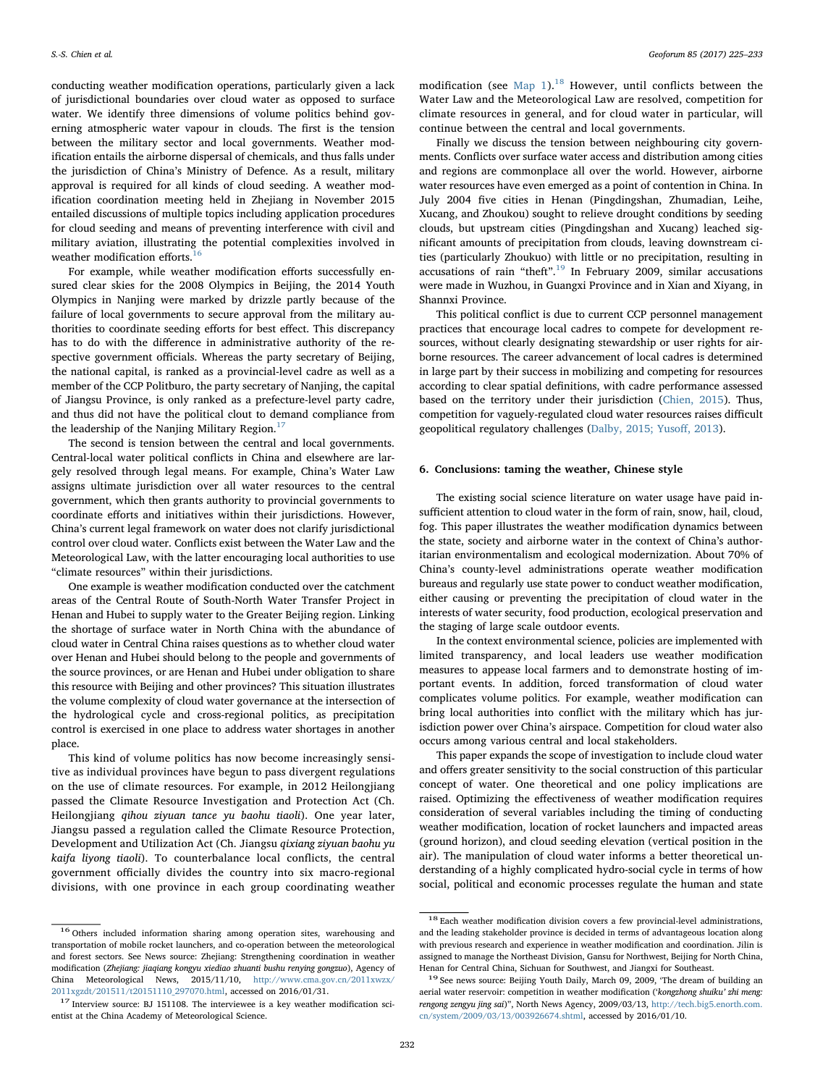conducting weather modification operations, particularly given a lack of jurisdictional boundaries over cloud water as opposed to surface water. We identify three dimensions of volume politics behind governing atmospheric water vapour in clouds. The first is the tension between the military sector and local governments. Weather modification entails the airborne dispersal of chemicals, and thus falls under the jurisdiction of China's Ministry of Defence. As a result, military approval is required for all kinds of cloud seeding. A weather modification coordination meeting held in Zhejiang in November 2015 entailed discussions of multiple topics including application procedures for cloud seeding and means of preventing interference with civil and military aviation, illustrating the potential complexities involved in weather modification efforts.<sup>[16](#page-7-0)</sup>

For example, while weather modification efforts successfully ensured clear skies for the 2008 Olympics in Beijing, the 2014 Youth Olympics in Nanjing were marked by drizzle partly because of the failure of local governments to secure approval from the military authorities to coordinate seeding efforts for best effect. This discrepancy has to do with the difference in administrative authority of the respective government officials. Whereas the party secretary of Beijing, the national capital, is ranked as a provincial-level cadre as well as a member of the CCP Politburo, the party secretary of Nanjing, the capital of Jiangsu Province, is only ranked as a prefecture-level party cadre, and thus did not have the political clout to demand compliance from the leadership of the Nanjing Military Region. $17$ 

The second is tension between the central and local governments. Central-local water political conflicts in China and elsewhere are largely resolved through legal means. For example, China's Water Law assigns ultimate jurisdiction over all water resources to the central government, which then grants authority to provincial governments to coordinate efforts and initiatives within their jurisdictions. However, China's current legal framework on water does not clarify jurisdictional control over cloud water. Conflicts exist between the Water Law and the Meteorological Law, with the latter encouraging local authorities to use "climate resources" within their jurisdictions.

One example is weather modification conducted over the catchment areas of the Central Route of South-North Water Transfer Project in Henan and Hubei to supply water to the Greater Beijing region. Linking the shortage of surface water in North China with the abundance of cloud water in Central China raises questions as to whether cloud water over Henan and Hubei should belong to the people and governments of the source provinces, or are Henan and Hubei under obligation to share this resource with Beijing and other provinces? This situation illustrates the volume complexity of cloud water governance at the intersection of the hydrological cycle and cross-regional politics, as precipitation control is exercised in one place to address water shortages in another place.

This kind of volume politics has now become increasingly sensitive as individual provinces have begun to pass divergent regulations on the use of climate resources. For example, in 2012 Heilongjiang passed the Climate Resource Investigation and Protection Act (Ch. Heilongjiang qihou ziyuan tance yu baohu tiaoli). One year later, Jiangsu passed a regulation called the Climate Resource Protection, Development and Utilization Act (Ch. Jiangsu qixiang ziyuan baohu yu kaifa liyong tiaoli). To counterbalance local conflicts, the central government officially divides the country into six macro-regional divisions, with one province in each group coordinating weather

modification (see [Map 1](#page-5-0)).<sup>[18](#page-7-2)</sup> However, until conflicts between the Water Law and the Meteorological Law are resolved, competition for climate resources in general, and for cloud water in particular, will continue between the central and local governments.

Finally we discuss the tension between neighbouring city governments. Conflicts over surface water access and distribution among cities and regions are commonplace all over the world. However, airborne water resources have even emerged as a point of contention in China. In July 2004 five cities in Henan (Pingdingshan, Zhumadian, Leihe, Xucang, and Zhoukou) sought to relieve drought conditions by seeding clouds, but upstream cities (Pingdingshan and Xucang) leached significant amounts of precipitation from clouds, leaving downstream cities (particularly Zhoukuo) with little or no precipitation, resulting in accusations of rain "theft". [19](#page-7-3) In February 2009, similar accusations were made in Wuzhou, in Guangxi Province and in Xian and Xiyang, in Shannxi Province.

This political conflict is due to current CCP personnel management practices that encourage local cadres to compete for development resources, without clearly designating stewardship or user rights for airborne resources. The career advancement of local cadres is determined in large part by their success in mobilizing and competing for resources according to clear spatial definitions, with cadre performance assessed based on the territory under their jurisdiction ([Chien, 2015](#page-8-29)). Thus, competition for vaguely-regulated cloud water resources raises difficult geopolitical regulatory challenges [\(Dalby, 2015; Yuso](#page-8-30)ff, 2013).

## 6. Conclusions: taming the weather, Chinese style

The existing social science literature on water usage have paid insufficient attention to cloud water in the form of rain, snow, hail, cloud, fog. This paper illustrates the weather modification dynamics between the state, society and airborne water in the context of China's authoritarian environmentalism and ecological modernization. About 70% of China's county-level administrations operate weather modification bureaus and regularly use state power to conduct weather modification, either causing or preventing the precipitation of cloud water in the interests of water security, food production, ecological preservation and the staging of large scale outdoor events.

In the context environmental science, policies are implemented with limited transparency, and local leaders use weather modification measures to appease local farmers and to demonstrate hosting of important events. In addition, forced transformation of cloud water complicates volume politics. For example, weather modification can bring local authorities into conflict with the military which has jurisdiction power over China's airspace. Competition for cloud water also occurs among various central and local stakeholders.

This paper expands the scope of investigation to include cloud water and offers greater sensitivity to the social construction of this particular concept of water. One theoretical and one policy implications are raised. Optimizing the effectiveness of weather modification requires consideration of several variables including the timing of conducting weather modification, location of rocket launchers and impacted areas (ground horizon), and cloud seeding elevation (vertical position in the air). The manipulation of cloud water informs a better theoretical understanding of a highly complicated hydro-social cycle in terms of how social, political and economic processes regulate the human and state

<span id="page-7-0"></span><sup>&</sup>lt;sup>16</sup> Others included information sharing among operation sites, warehousing and transportation of mobile rocket launchers, and co-operation between the meteorological and forest sectors. See News source: Zhejiang: Strengthening coordination in weather modification (Zhejiang: jiaqiang kongyu xiediao zhuanti bushu renying gongzuo), Agency of  ${\it China\quad Metecroological\quad News,\quad 2015/11/10,\quad http://www.cma.gov.cn/2011xwzx/2011xgzdt/201511/t20151110_297070.html,\, accessed on 2016/01/31.}$  ${\it China\quad Metecroological\quad News,\quad 2015/11/10,\quad http://www.cma.gov.cn/2011xwzx/2011xgzdt/201511/t20151110_297070.html,\, accessed on 2016/01/31.}$  ${\it China\quad Metecroological\quad News,\quad 2015/11/10,\quad http://www.cma.gov.cn/2011xwzx/2011xgzdt/201511/t20151110_297070.html,\, accessed on 2016/01/31.}$ 

<span id="page-7-1"></span> $17$  Interview source: BJ 151108. The interviewee is a key weather modification scientist at the China Academy of Meteorological Science.

<span id="page-7-2"></span><sup>&</sup>lt;sup>18</sup> Each weather modification division covers a few provincial-level administrations, and the leading stakeholder province is decided in terms of advantageous location along with previous research and experience in weather modification and coordination. Jilin is assigned to manage the Northeast Division, Gansu for Northwest, Beijing for North China, Henan for Central China, Sichuan for Southwest, and Jiangxi for Southeast.<br><sup>19</sup> See news source: Beijing Youth Daily, March 09, 2009, 'The dream of building an

<span id="page-7-3"></span>aerial water reservoir: competition in weather modification ('kongzhong shuiku' zhi meng: rengong zengyu jing sai)", North News Agency, 2009/03/13, [http://tech.big5.enorth.com.](http://tech.big5.enorth.com.cn/system/2009/03/13/003926674.shtml) [cn/system/2009/03/13/003926674.shtml](http://tech.big5.enorth.com.cn/system/2009/03/13/003926674.shtml), accessed by 2016/01/10.